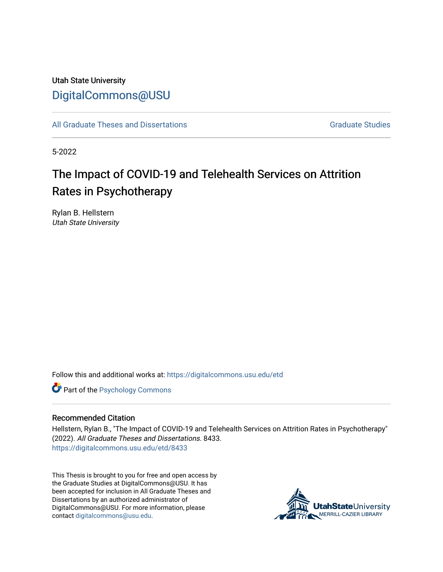## Utah State University [DigitalCommons@USU](https://digitalcommons.usu.edu/)

[All Graduate Theses and Dissertations](https://digitalcommons.usu.edu/etd) [Graduate Studies](https://digitalcommons.usu.edu/gradstudies) Graduate Studies

5-2022

# The Impact of COVID-19 and Telehealth Services on Attrition Rates in Psychotherapy

Rylan B. Hellstern Utah State University

Follow this and additional works at: [https://digitalcommons.usu.edu/etd](https://digitalcommons.usu.edu/etd?utm_source=digitalcommons.usu.edu%2Fetd%2F8433&utm_medium=PDF&utm_campaign=PDFCoverPages) 

**Part of the Psychology Commons** 

#### Recommended Citation

Hellstern, Rylan B., "The Impact of COVID-19 and Telehealth Services on Attrition Rates in Psychotherapy" (2022). All Graduate Theses and Dissertations. 8433. [https://digitalcommons.usu.edu/etd/8433](https://digitalcommons.usu.edu/etd/8433?utm_source=digitalcommons.usu.edu%2Fetd%2F8433&utm_medium=PDF&utm_campaign=PDFCoverPages)

This Thesis is brought to you for free and open access by the Graduate Studies at DigitalCommons@USU. It has been accepted for inclusion in All Graduate Theses and Dissertations by an authorized administrator of DigitalCommons@USU. For more information, please contact [digitalcommons@usu.edu](mailto:digitalcommons@usu.edu).

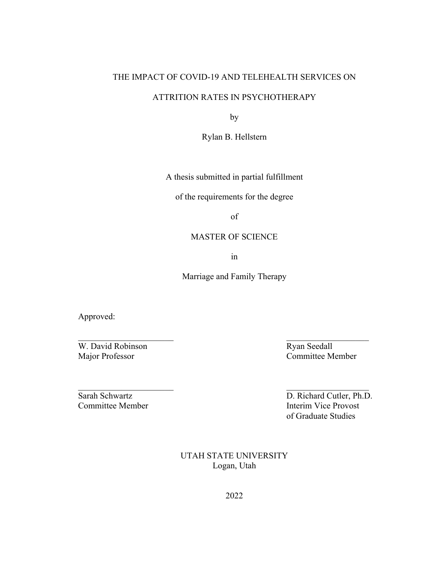### THE IMPACT OF COVID-19 AND TELEHEALTH SERVICES ON

### ATTRITION RATES IN PSYCHOTHERAPY

by

Rylan B. Hellstern

A thesis submitted in partial fulfillment

of the requirements for the degree

of

### MASTER OF SCIENCE

in

Marriage and Family Therapy

Approved:

W. David Robinson Ryan Seedall Major Professor Committee Member

Sarah Schwartz D. Richard Cutler, Ph.D. Committee Member **Interim Vice Provost** of Graduate Studies

> UTAH STATE UNIVERSITY Logan, Utah

> > 2022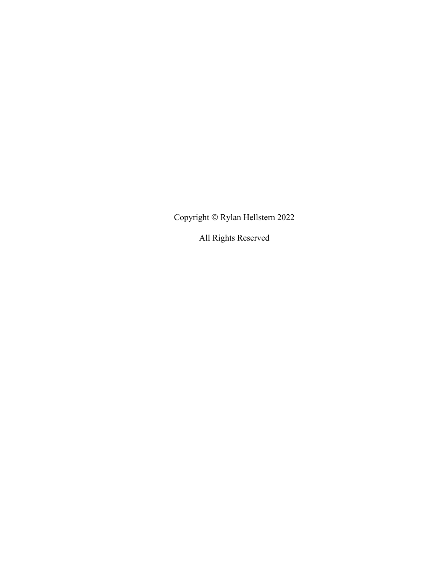Copyright  $\circledcirc$ Rylan Hellstern 2022

All Rights Reserved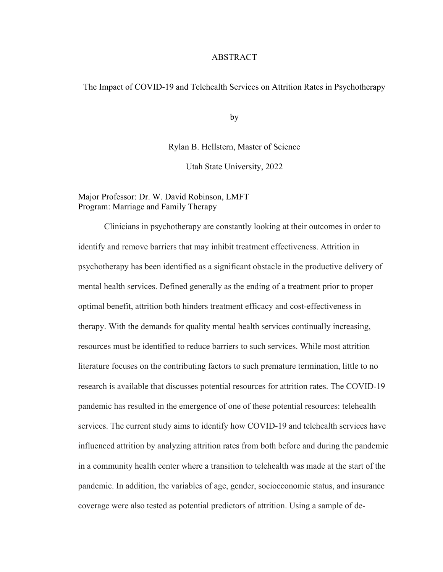#### ABSTRACT

#### The Impact of COVID-19 and Telehealth Services on Attrition Rates in Psychotherapy

by

Rylan B. Hellstern, Master of Science

Utah State University, 2022

#### Major Professor: Dr. W. David Robinson, LMFT Program: Marriage and Family Therapy

Clinicians in psychotherapy are constantly looking at their outcomes in order to identify and remove barriers that may inhibit treatment effectiveness. Attrition in psychotherapy has been identified as a significant obstacle in the productive delivery of mental health services. Defined generally as the ending of a treatment prior to proper optimal benefit, attrition both hinders treatment efficacy and cost-effectiveness in therapy. With the demands for quality mental health services continually increasing, resources must be identified to reduce barriers to such services. While most attrition literature focuses on the contributing factors to such premature termination, little to no research is available that discusses potential resources for attrition rates. The COVID-19 pandemic has resulted in the emergence of one of these potential resources: telehealth services. The current study aims to identify how COVID-19 and telehealth services have influenced attrition by analyzing attrition rates from both before and during the pandemic in a community health center where a transition to telehealth was made at the start of the pandemic. In addition, the variables of age, gender, socioeconomic status, and insurance coverage were also tested as potential predictors of attrition. Using a sample of de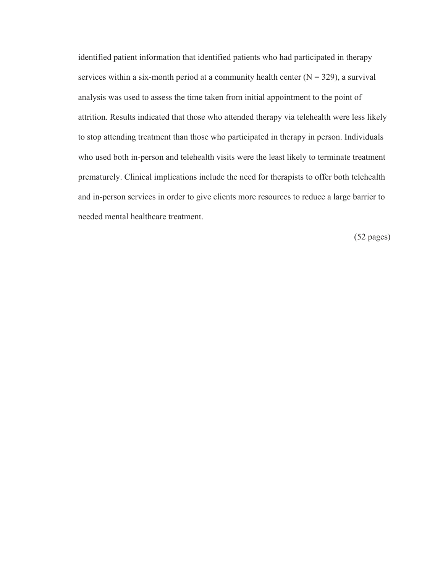identified patient information that identified patients who had participated in therapy services within a six-month period at a community health center  $(N = 329)$ , a survival analysis was used to assess the time taken from initial appointment to the point of attrition. Results indicated that those who attended therapy via telehealth were less likely to stop attending treatment than those who participated in therapy in person. Individuals who used both in-person and telehealth visits were the least likely to terminate treatment prematurely. Clinical implications include the need for therapists to offer both telehealth and in-person services in order to give clients more resources to reduce a large barrier to needed mental healthcare treatment.

(52 pages)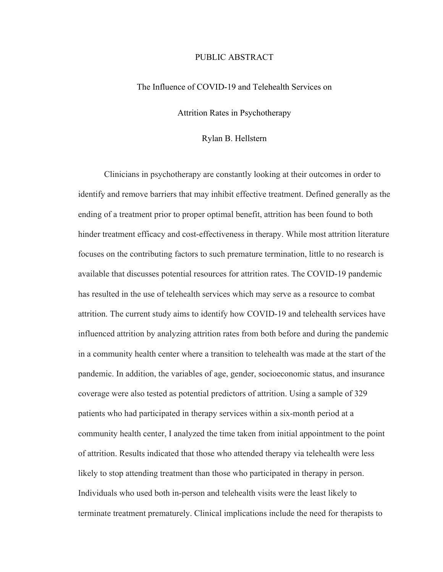#### PUBLIC ABSTRACT

#### The Influence of COVID-19 and Telehealth Services on

Attrition Rates in Psychotherapy

#### Rylan B. Hellstern

Clinicians in psychotherapy are constantly looking at their outcomes in order to identify and remove barriers that may inhibit effective treatment. Defined generally as the ending of a treatment prior to proper optimal benefit, attrition has been found to both hinder treatment efficacy and cost-effectiveness in therapy. While most attrition literature focuses on the contributing factors to such premature termination, little to no research is available that discusses potential resources for attrition rates. The COVID-19 pandemic has resulted in the use of telehealth services which may serve as a resource to combat attrition. The current study aims to identify how COVID-19 and telehealth services have influenced attrition by analyzing attrition rates from both before and during the pandemic in a community health center where a transition to telehealth was made at the start of the pandemic. In addition, the variables of age, gender, socioeconomic status, and insurance coverage were also tested as potential predictors of attrition. Using a sample of 329 patients who had participated in therapy services within a six-month period at a community health center, I analyzed the time taken from initial appointment to the point of attrition. Results indicated that those who attended therapy via telehealth were less likely to stop attending treatment than those who participated in therapy in person. Individuals who used both in-person and telehealth visits were the least likely to terminate treatment prematurely. Clinical implications include the need for therapists to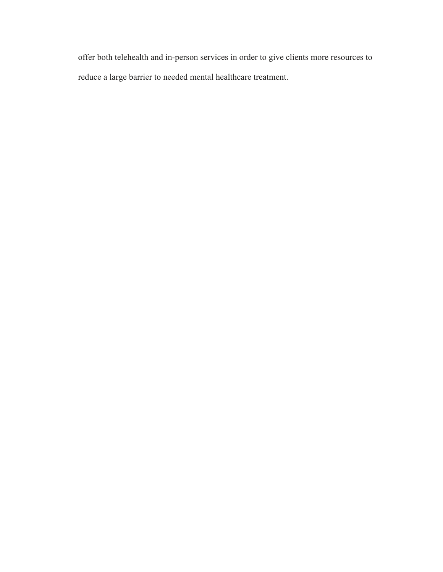offer both telehealth and in-person services in order to give clients more resources to reduce a large barrier to needed mental healthcare treatment.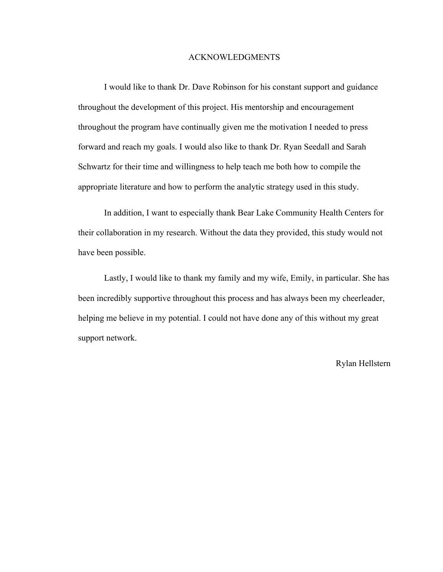#### ACKNOWLEDGMENTS

I would like to thank Dr. Dave Robinson for his constant support and guidance throughout the development of this project. His mentorship and encouragement throughout the program have continually given me the motivation I needed to press forward and reach my goals. I would also like to thank Dr. Ryan Seedall and Sarah Schwartz for their time and willingness to help teach me both how to compile the appropriate literature and how to perform the analytic strategy used in this study.

In addition, I want to especially thank Bear Lake Community Health Centers for their collaboration in my research. Without the data they provided, this study would not have been possible.

Lastly, I would like to thank my family and my wife, Emily, in particular. She has been incredibly supportive throughout this process and has always been my cheerleader, helping me believe in my potential. I could not have done any of this without my great support network.

Rylan Hellstern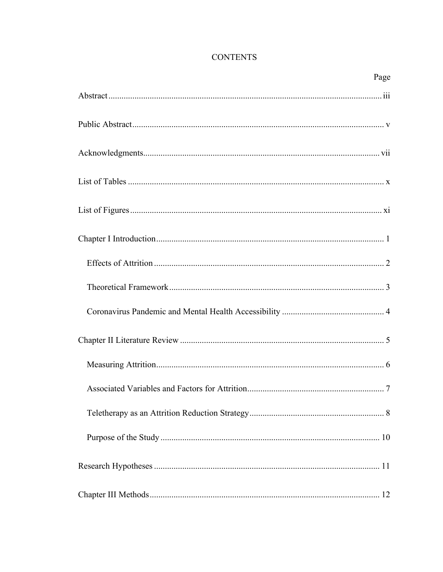| Page |
|------|
|      |
|      |
|      |
|      |
|      |
|      |
|      |
|      |
|      |
|      |
|      |
|      |
|      |
|      |
|      |
|      |

## **CONTENTS**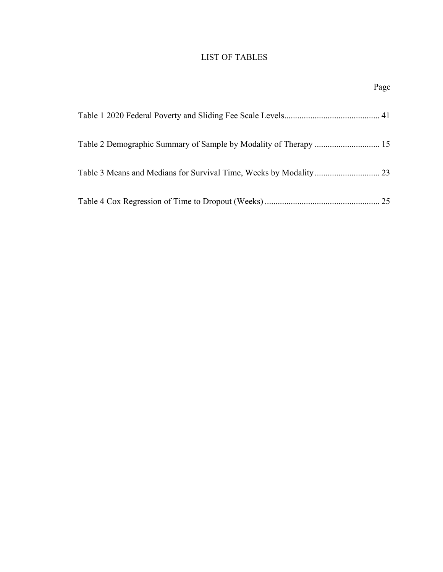## LIST OF TABLES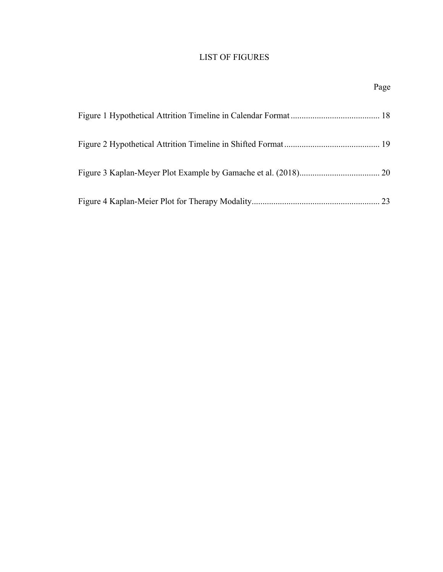## LIST OF FIGURES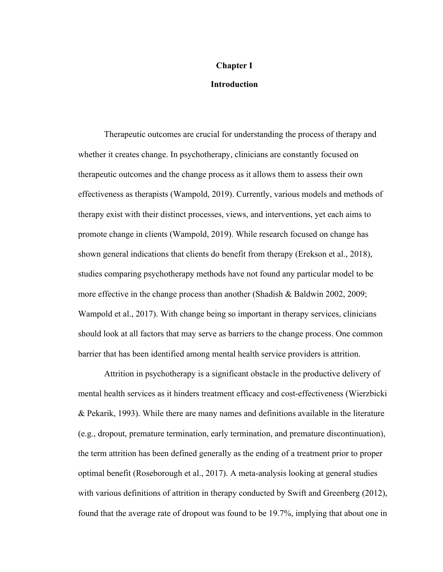## **Chapter I**

#### **Introduction**

Therapeutic outcomes are crucial for understanding the process of therapy and whether it creates change. In psychotherapy, clinicians are constantly focused on therapeutic outcomes and the change process as it allows them to assess their own effectiveness as therapists (Wampold, 2019). Currently, various models and methods of therapy exist with their distinct processes, views, and interventions, yet each aims to promote change in clients (Wampold, 2019). While research focused on change has shown general indications that clients do benefit from therapy (Erekson et al., 2018), studies comparing psychotherapy methods have not found any particular model to be more effective in the change process than another (Shadish & Baldwin 2002, 2009; Wampold et al., 2017). With change being so important in therapy services, clinicians should look at all factors that may serve as barriers to the change process. One common barrier that has been identified among mental health service providers is attrition.

Attrition in psychotherapy is a significant obstacle in the productive delivery of mental health services as it hinders treatment efficacy and cost-effectiveness (Wierzbicki & Pekarik, 1993). While there are many names and definitions available in the literature (e.g., dropout, premature termination, early termination, and premature discontinuation), the term attrition has been defined generally as the ending of a treatment prior to proper optimal benefit (Roseborough et al., 2017). A meta-analysis looking at general studies with various definitions of attrition in therapy conducted by Swift and Greenberg (2012), found that the average rate of dropout was found to be 19.7%, implying that about one in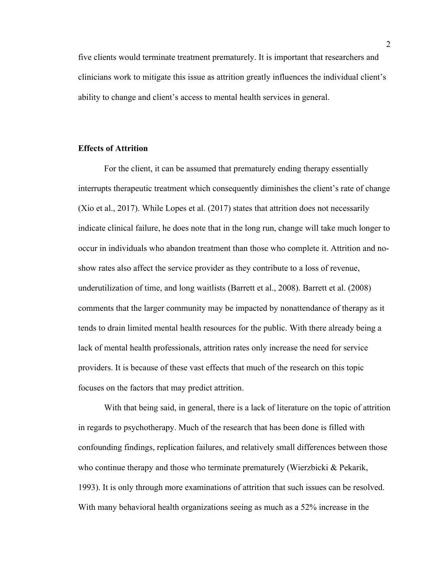five clients would terminate treatment prematurely. It is important that researchers and clinicians work to mitigate this issue as attrition greatly influences the individual client's ability to change and client's access to mental health services in general.

#### **Effects of Attrition**

For the client, it can be assumed that prematurely ending therapy essentially interrupts therapeutic treatment which consequently diminishes the client's rate of change (Xio et al., 2017). While Lopes et al. (2017) states that attrition does not necessarily indicate clinical failure, he does note that in the long run, change will take much longer to occur in individuals who abandon treatment than those who complete it. Attrition and noshow rates also affect the service provider as they contribute to a loss of revenue, underutilization of time, and long waitlists (Barrett et al., 2008). Barrett et al. (2008) comments that the larger community may be impacted by nonattendance of therapy as it tends to drain limited mental health resources for the public. With there already being a lack of mental health professionals, attrition rates only increase the need for service providers. It is because of these vast effects that much of the research on this topic focuses on the factors that may predict attrition.

With that being said, in general, there is a lack of literature on the topic of attrition in regards to psychotherapy. Much of the research that has been done is filled with confounding findings, replication failures, and relatively small differences between those who continue therapy and those who terminate prematurely (Wierzbicki & Pekarik, 1993). It is only through more examinations of attrition that such issues can be resolved. With many behavioral health organizations seeing as much as a 52% increase in the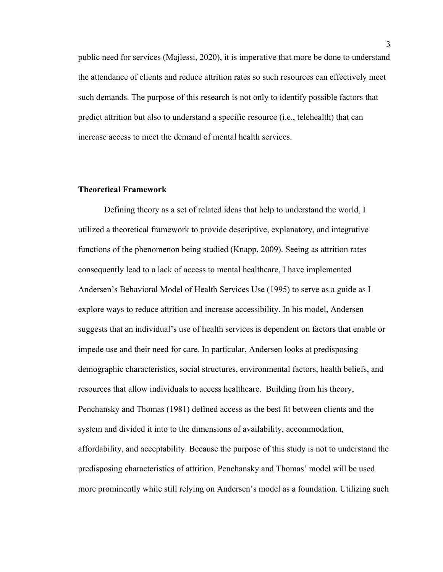public need for services (Majlessi, 2020), it is imperative that more be done to understand the attendance of clients and reduce attrition rates so such resources can effectively meet such demands. The purpose of this research is not only to identify possible factors that predict attrition but also to understand a specific resource (i.e., telehealth) that can increase access to meet the demand of mental health services.

#### **Theoretical Framework**

Defining theory as a set of related ideas that help to understand the world, I utilized a theoretical framework to provide descriptive, explanatory, and integrative functions of the phenomenon being studied (Knapp, 2009). Seeing as attrition rates consequently lead to a lack of access to mental healthcare, I have implemented Andersen's Behavioral Model of Health Services Use (1995) to serve as a guide as I explore ways to reduce attrition and increase accessibility. In his model, Andersen suggests that an individual's use of health services is dependent on factors that enable or impede use and their need for care. In particular, Andersen looks at predisposing demographic characteristics, social structures, environmental factors, health beliefs, and resources that allow individuals to access healthcare. Building from his theory, Penchansky and Thomas (1981) defined access as the best fit between clients and the system and divided it into to the dimensions of availability, accommodation, affordability, and acceptability. Because the purpose of this study is not to understand the predisposing characteristics of attrition, Penchansky and Thomas' model will be used more prominently while still relying on Andersen's model as a foundation. Utilizing such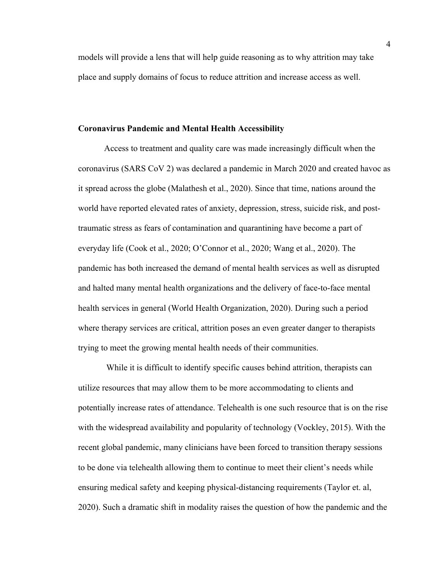models will provide a lens that will help guide reasoning as to why attrition may take place and supply domains of focus to reduce attrition and increase access as well.

#### **Coronavirus Pandemic and Mental Health Accessibility**

Access to treatment and quality care was made increasingly difficult when the coronavirus (SARS CoV 2) was declared a pandemic in March 2020 and created havoc as it spread across the globe (Malathesh et al., 2020). Since that time, nations around the world have reported elevated rates of anxiety, depression, stress, suicide risk, and posttraumatic stress as fears of contamination and quarantining have become a part of everyday life (Cook et al., 2020; O'Connor et al., 2020; Wang et al., 2020). The pandemic has both increased the demand of mental health services as well as disrupted and halted many mental health organizations and the delivery of face-to-face mental health services in general (World Health Organization, 2020). During such a period where therapy services are critical, attrition poses an even greater danger to therapists trying to meet the growing mental health needs of their communities.

While it is difficult to identify specific causes behind attrition, therapists can utilize resources that may allow them to be more accommodating to clients and potentially increase rates of attendance. Telehealth is one such resource that is on the rise with the widespread availability and popularity of technology (Vockley, 2015). With the recent global pandemic, many clinicians have been forced to transition therapy sessions to be done via telehealth allowing them to continue to meet their client's needs while ensuring medical safety and keeping physical-distancing requirements (Taylor et. al, 2020). Such a dramatic shift in modality raises the question of how the pandemic and the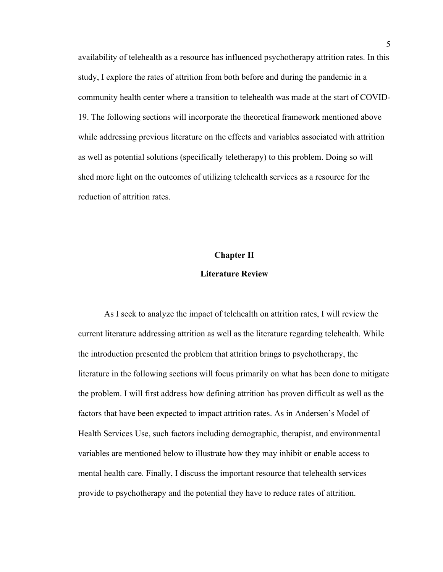availability of telehealth as a resource has influenced psychotherapy attrition rates. In this study, I explore the rates of attrition from both before and during the pandemic in a community health center where a transition to telehealth was made at the start of COVID-19. The following sections will incorporate the theoretical framework mentioned above while addressing previous literature on the effects and variables associated with attrition as well as potential solutions (specifically teletherapy) to this problem. Doing so will shed more light on the outcomes of utilizing telehealth services as a resource for the reduction of attrition rates.

#### **Chapter II**

#### **Literature Review**

As I seek to analyze the impact of telehealth on attrition rates, I will review the current literature addressing attrition as well as the literature regarding telehealth. While the introduction presented the problem that attrition brings to psychotherapy, the literature in the following sections will focus primarily on what has been done to mitigate the problem. I will first address how defining attrition has proven difficult as well as the factors that have been expected to impact attrition rates. As in Andersen's Model of Health Services Use, such factors including demographic, therapist, and environmental variables are mentioned below to illustrate how they may inhibit or enable access to mental health care. Finally, I discuss the important resource that telehealth services provide to psychotherapy and the potential they have to reduce rates of attrition.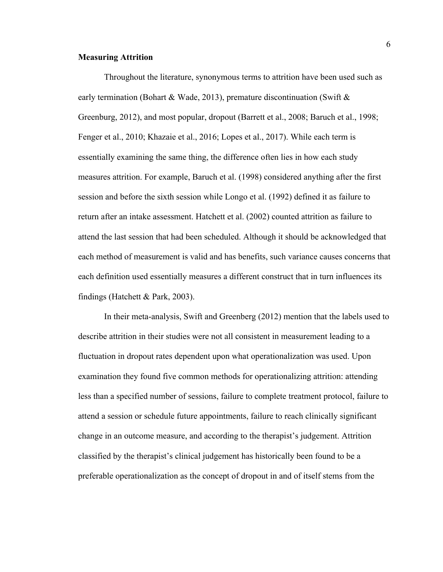#### **Measuring Attrition**

Throughout the literature, synonymous terms to attrition have been used such as early termination (Bohart & Wade, 2013), premature discontinuation (Swift  $\&$ Greenburg, 2012), and most popular, dropout (Barrett et al., 2008; Baruch et al., 1998; Fenger et al., 2010; Khazaie et al., 2016; Lopes et al., 2017). While each term is essentially examining the same thing, the difference often lies in how each study measures attrition. For example, Baruch et al. (1998) considered anything after the first session and before the sixth session while Longo et al. (1992) defined it as failure to return after an intake assessment. Hatchett et al. (2002) counted attrition as failure to attend the last session that had been scheduled. Although it should be acknowledged that each method of measurement is valid and has benefits, such variance causes concerns that each definition used essentially measures a different construct that in turn influences its findings (Hatchett & Park, 2003).

In their meta-analysis, Swift and Greenberg (2012) mention that the labels used to describe attrition in their studies were not all consistent in measurement leading to a fluctuation in dropout rates dependent upon what operationalization was used. Upon examination they found five common methods for operationalizing attrition: attending less than a specified number of sessions, failure to complete treatment protocol, failure to attend a session or schedule future appointments, failure to reach clinically significant change in an outcome measure, and according to the therapist's judgement. Attrition classified by the therapist's clinical judgement has historically been found to be a preferable operationalization as the concept of dropout in and of itself stems from the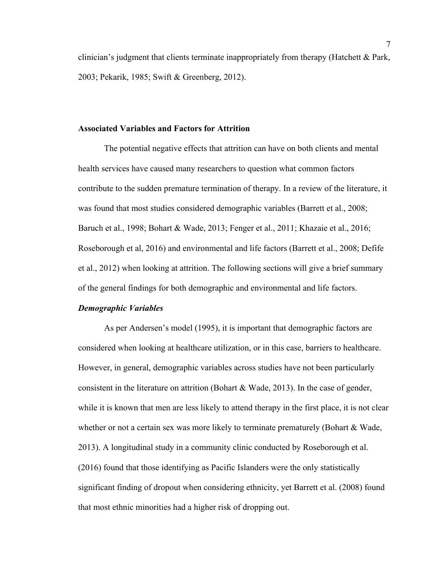clinician's judgment that clients terminate inappropriately from therapy (Hatchett & Park, 2003; Pekarik, 1985; Swift & Greenberg, 2012).

#### **Associated Variables and Factors for Attrition**

The potential negative effects that attrition can have on both clients and mental health services have caused many researchers to question what common factors contribute to the sudden premature termination of therapy. In a review of the literature, it was found that most studies considered demographic variables (Barrett et al., 2008; Baruch et al., 1998; Bohart & Wade, 2013; Fenger et al., 2011; Khazaie et al., 2016; Roseborough et al, 2016) and environmental and life factors (Barrett et al., 2008; Defife et al., 2012) when looking at attrition. The following sections will give a brief summary of the general findings for both demographic and environmental and life factors.

#### *Demographic Variables*

As per Andersen's model (1995), it is important that demographic factors are considered when looking at healthcare utilization, or in this case, barriers to healthcare. However, in general, demographic variables across studies have not been particularly consistent in the literature on attrition (Bohart & Wade, 2013). In the case of gender, while it is known that men are less likely to attend therapy in the first place, it is not clear whether or not a certain sex was more likely to terminate prematurely (Bohart & Wade, 2013). A longitudinal study in a community clinic conducted by Roseborough et al. (2016) found that those identifying as Pacific Islanders were the only statistically significant finding of dropout when considering ethnicity, yet Barrett et al. (2008) found that most ethnic minorities had a higher risk of dropping out.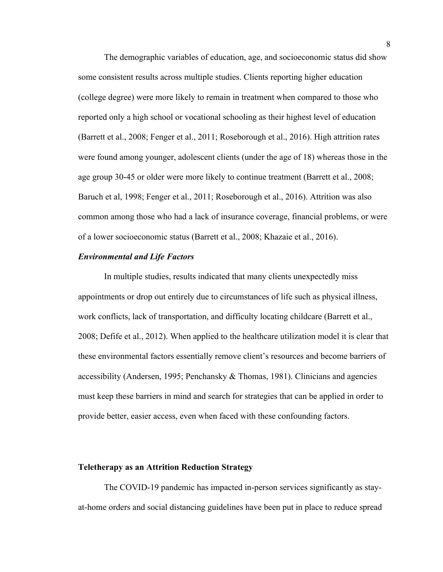The demographic variables of education, age, and socioeconomic status did show some consistent results across multiple studies. Clients reporting higher education (college degree) were more likely to remain in treatment when compared to those who reported only a high school or vocational schooling as their highest level of education (Barrett et al., 2008; Fenger et al., 2011; Roseborough et al., 2016). High attrition rates were found among younger, adolescent clients (under the age of 18) whereas those in the age group 30-45 or older were more likely to continue treatment (Barrett et al., 2008; Baruch et al, 1998; Fenger et al., 2011; Roseborough et al., 2016). Attrition was also common among those who had a lack of insurance coverage, financial problems, or were of a lower socioeconomic status (Barrett et al., 2008; Khazaie et al., 2016).

#### *Environmental and Life Factors*

In multiple studies, results indicated that many clients unexpectedly miss appointments or drop out entirely due to circumstances of life such as physical illness, work conflicts, lack of transportation, and difficulty locating childcare (Barrett et al., 2008; Defife et al., 2012). When applied to the healthcare utilization model it is clear that these environmental factors essentially remove client's resources and become barriers of accessibility (Andersen, 1995; Penchansky & Thomas, 1981). Clinicians and agencies must keep these barriers in mind and search for strategies that can be applied in order to provide better, easier access, even when faced with these confounding factors.

#### **Teletherapy as an Attrition Reduction Strategy**

The COVID-19 pandemic has impacted in-person services significantly as stayat-home orders and social distancing guidelines have been put in place to reduce spread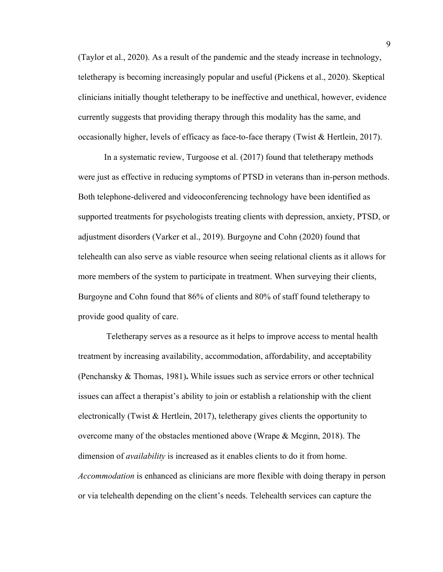(Taylor et al., 2020). As a result of the pandemic and the steady increase in technology, teletherapy is becoming increasingly popular and useful (Pickens et al., 2020). Skeptical clinicians initially thought teletherapy to be ineffective and unethical, however, evidence currently suggests that providing therapy through this modality has the same, and occasionally higher, levels of efficacy as face-to-face therapy (Twist & Hertlein, 2017).

In a systematic review, Turgoose et al. (2017) found that teletherapy methods were just as effective in reducing symptoms of PTSD in veterans than in-person methods. Both telephone-delivered and videoconferencing technology have been identified as supported treatments for psychologists treating clients with depression, anxiety, PTSD, or adjustment disorders (Varker et al., 2019). Burgoyne and Cohn (2020) found that telehealth can also serve as viable resource when seeing relational clients as it allows for more members of the system to participate in treatment. When surveying their clients, Burgoyne and Cohn found that 86% of clients and 80% of staff found teletherapy to provide good quality of care.

Teletherapy serves as a resource as it helps to improve access to mental health treatment by increasing availability, accommodation, affordability, and acceptability (Penchansky & Thomas, 1981)**.** While issues such as service errors or other technical issues can affect a therapist's ability to join or establish a relationship with the client electronically (Twist & Hertlein, 2017), teletherapy gives clients the opportunity to overcome many of the obstacles mentioned above (Wrape  $\&$  Mcginn, 2018). The dimension of *availability* is increased as it enables clients to do it from home. *Accommodation* is enhanced as clinicians are more flexible with doing therapy in person or via telehealth depending on the client's needs. Telehealth services can capture the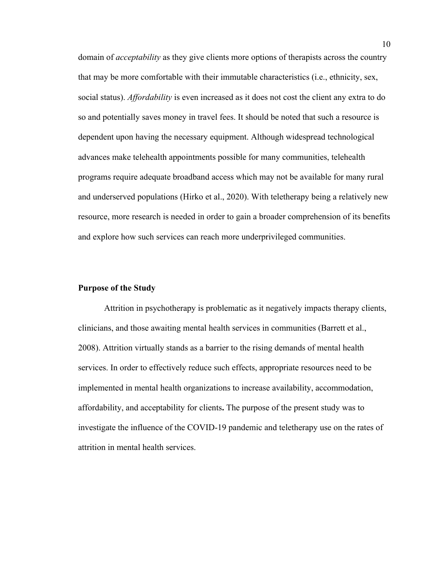domain of *acceptability* as they give clients more options of therapists across the country that may be more comfortable with their immutable characteristics (i.e., ethnicity, sex, social status). *Affordability* is even increased as it does not cost the client any extra to do so and potentially saves money in travel fees. It should be noted that such a resource is dependent upon having the necessary equipment. Although widespread technological advances make telehealth appointments possible for many communities, telehealth programs require adequate broadband access which may not be available for many rural and underserved populations (Hirko et al., 2020). With teletherapy being a relatively new resource, more research is needed in order to gain a broader comprehension of its benefits and explore how such services can reach more underprivileged communities.

#### **Purpose of the Study**

Attrition in psychotherapy is problematic as it negatively impacts therapy clients, clinicians, and those awaiting mental health services in communities (Barrett et al., 2008). Attrition virtually stands as a barrier to the rising demands of mental health services. In order to effectively reduce such effects, appropriate resources need to be implemented in mental health organizations to increase availability, accommodation, affordability, and acceptability for clients**.** The purpose of the present study was to investigate the influence of the COVID-19 pandemic and teletherapy use on the rates of attrition in mental health services.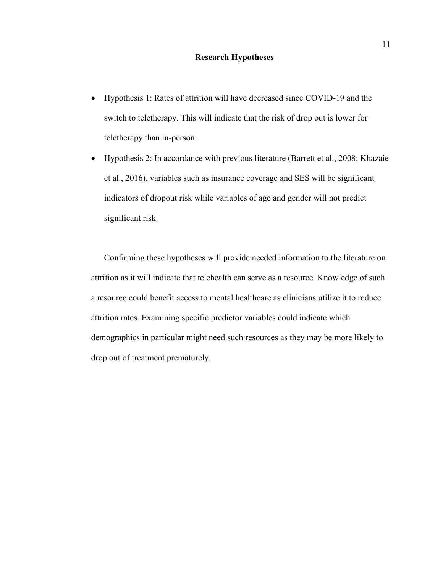#### **Research Hypotheses**

- Hypothesis 1: Rates of attrition will have decreased since COVID-19 and the switch to teletherapy. This will indicate that the risk of drop out is lower for teletherapy than in-person.
- Hypothesis 2: In accordance with previous literature (Barrett et al., 2008; Khazaie et al., 2016), variables such as insurance coverage and SES will be significant indicators of dropout risk while variables of age and gender will not predict significant risk.

Confirming these hypotheses will provide needed information to the literature on attrition as it will indicate that telehealth can serve as a resource. Knowledge of such a resource could benefit access to mental healthcare as clinicians utilize it to reduce attrition rates. Examining specific predictor variables could indicate which demographics in particular might need such resources as they may be more likely to drop out of treatment prematurely.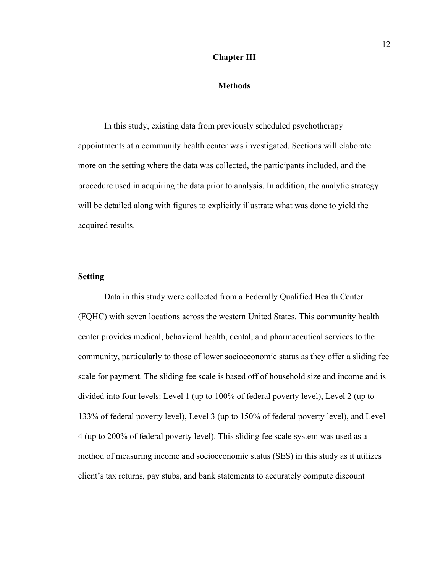#### **Chapter III**

#### **Methods**

In this study, existing data from previously scheduled psychotherapy appointments at a community health center was investigated. Sections will elaborate more on the setting where the data was collected, the participants included, and the procedure used in acquiring the data prior to analysis. In addition, the analytic strategy will be detailed along with figures to explicitly illustrate what was done to yield the acquired results.

#### **Setting**

Data in this study were collected from a Federally Qualified Health Center (FQHC) with seven locations across the western United States. This community health center provides medical, behavioral health, dental, and pharmaceutical services to the community, particularly to those of lower socioeconomic status as they offer a sliding fee scale for payment. The sliding fee scale is based off of household size and income and is divided into four levels: Level 1 (up to 100% of federal poverty level), Level 2 (up to 133% of federal poverty level), Level 3 (up to 150% of federal poverty level), and Level 4 (up to 200% of federal poverty level). This sliding fee scale system was used as a method of measuring income and socioeconomic status (SES) in this study as it utilizes client's tax returns, pay stubs, and bank statements to accurately compute discount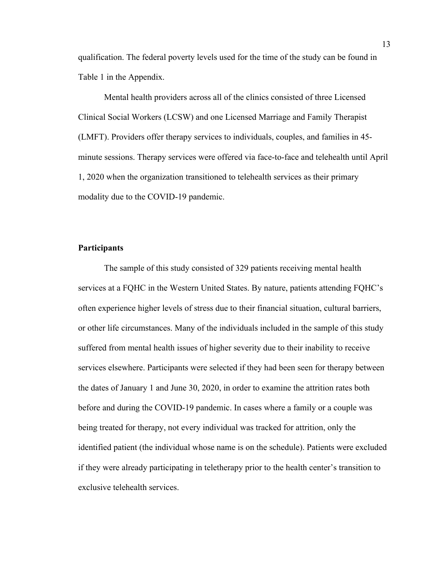qualification. The federal poverty levels used for the time of the study can be found in Table 1 in the Appendix.

Mental health providers across all of the clinics consisted of three Licensed Clinical Social Workers (LCSW) and one Licensed Marriage and Family Therapist (LMFT). Providers offer therapy services to individuals, couples, and families in 45 minute sessions. Therapy services were offered via face-to-face and telehealth until April 1, 2020 when the organization transitioned to telehealth services as their primary modality due to the COVID-19 pandemic.

#### **Participants**

The sample of this study consisted of 329 patients receiving mental health services at a FQHC in the Western United States. By nature, patients attending FQHC's often experience higher levels of stress due to their financial situation, cultural barriers, or other life circumstances. Many of the individuals included in the sample of this study suffered from mental health issues of higher severity due to their inability to receive services elsewhere. Participants were selected if they had been seen for therapy between the dates of January 1 and June 30, 2020, in order to examine the attrition rates both before and during the COVID-19 pandemic. In cases where a family or a couple was being treated for therapy, not every individual was tracked for attrition, only the identified patient (the individual whose name is on the schedule). Patients were excluded if they were already participating in teletherapy prior to the health center's transition to exclusive telehealth services.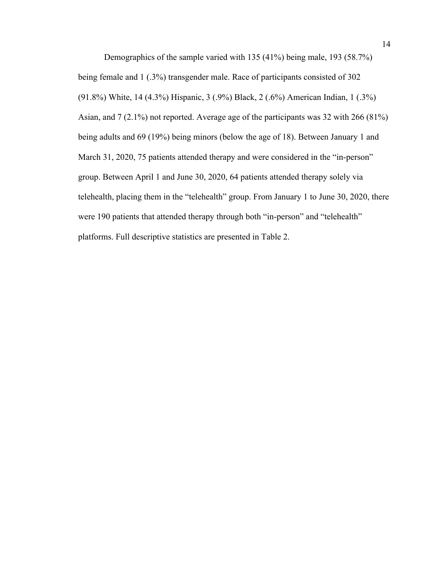Demographics of the sample varied with 135 (41%) being male, 193 (58.7%) being female and 1 (.3%) transgender male. Race of participants consisted of 302 (91.8%) White, 14 (4.3%) Hispanic, 3 (.9%) Black, 2 (.6%) American Indian, 1 (.3%) Asian, and 7 (2.1%) not reported. Average age of the participants was 32 with 266 (81%) being adults and 69 (19%) being minors (below the age of 18). Between January 1 and March 31, 2020, 75 patients attended therapy and were considered in the "in-person" group. Between April 1 and June 30, 2020, 64 patients attended therapy solely via telehealth, placing them in the "telehealth" group. From January 1 to June 30, 2020, there were 190 patients that attended therapy through both "in-person" and "telehealth" platforms. Full descriptive statistics are presented in Table 2.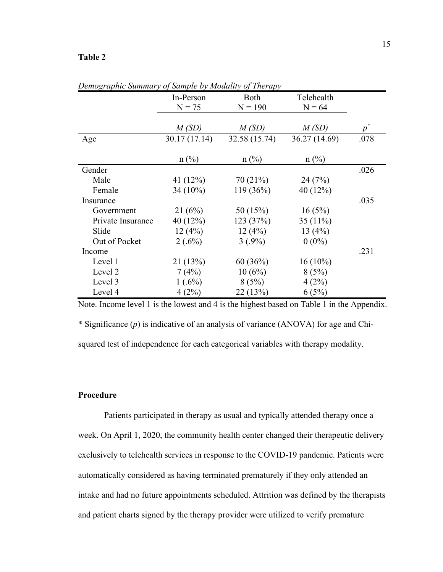#### **Table 2**

|                   | In-Person      | <b>Both</b>    | Telehealth    |                  |
|-------------------|----------------|----------------|---------------|------------------|
|                   | $N = 75$       | $N = 190$      | $N = 64$      |                  |
|                   |                |                |               |                  |
|                   | M(SD)          | M(SD)          | M(SD)         | $\boldsymbol{p}$ |
| Age               | 30.17 (17.14)  | 32.58 (15.74)  | 36.27 (14.69) | .078             |
|                   |                |                |               |                  |
|                   | $n(^{0}/_{0})$ | $n(^{0}/_{0})$ | $n$ (%)       |                  |
| Gender            |                |                |               | .026             |
| Male              | 41 (12%)       | 70(21%)        | 24(7%)        |                  |
| Female            | $34(10\%)$     | 119 (36%)      | 40 (12%)      |                  |
| Insurance         |                |                |               | .035             |
| Government        | 21(6%)         | 50 (15%)       | 16(5%)        |                  |
| Private Insurance | 40 $(12\%)$    | 123 (37%)      | 35 $(11\%)$   |                  |
| Slide             | 12(4%)         | 12(4%)         | 13 $(4%)$     |                  |
| Out of Pocket     | $2(.6\%)$      | $3(.9\%)$      | $0(0\%)$      |                  |
| Income            |                |                |               | .231             |
| Level 1           | 21(13%)        | 60(36%)        | $16(10\%)$    |                  |
| Level 2           | 7(4%)          | 10(6%)         | 8(5%)         |                  |
| Level 3           | $1(.6\%)$      | 8(5%)          | 4(2%)         |                  |
| Level 4           | 4(2%)          | 22(13%)        | 6(5%)         |                  |

*Demographic Summary of Sample by Modality of Therapy*

Note. Income level 1 is the lowest and 4 is the highest based on Table 1 in the Appendix. \* Significance (*p*) is indicative of an analysis of variance (ANOVA) for age and Chisquared test of independence for each categorical variables with therapy modality.

#### **Procedure**

Patients participated in therapy as usual and typically attended therapy once a week. On April 1, 2020, the community health center changed their therapeutic delivery exclusively to telehealth services in response to the COVID-19 pandemic. Patients were automatically considered as having terminated prematurely if they only attended an intake and had no future appointments scheduled. Attrition was defined by the therapists and patient charts signed by the therapy provider were utilized to verify premature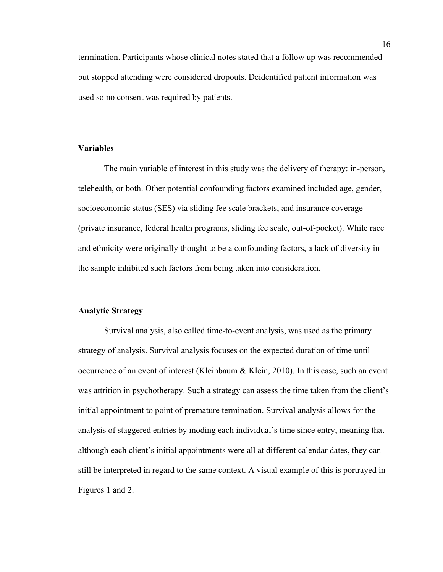termination. Participants whose clinical notes stated that a follow up was recommended but stopped attending were considered dropouts. Deidentified patient information was used so no consent was required by patients.

#### **Variables**

The main variable of interest in this study was the delivery of therapy: in-person, telehealth, or both. Other potential confounding factors examined included age, gender, socioeconomic status (SES) via sliding fee scale brackets, and insurance coverage (private insurance, federal health programs, sliding fee scale, out-of-pocket). While race and ethnicity were originally thought to be a confounding factors, a lack of diversity in the sample inhibited such factors from being taken into consideration.

#### **Analytic Strategy**

Survival analysis, also called time-to-event analysis, was used as the primary strategy of analysis. Survival analysis focuses on the expected duration of time until occurrence of an event of interest (Kleinbaum & Klein, 2010). In this case, such an event was attrition in psychotherapy. Such a strategy can assess the time taken from the client's initial appointment to point of premature termination. Survival analysis allows for the analysis of staggered entries by moding each individual's time since entry, meaning that although each client's initial appointments were all at different calendar dates, they can still be interpreted in regard to the same context. A visual example of this is portrayed in Figures 1 and 2.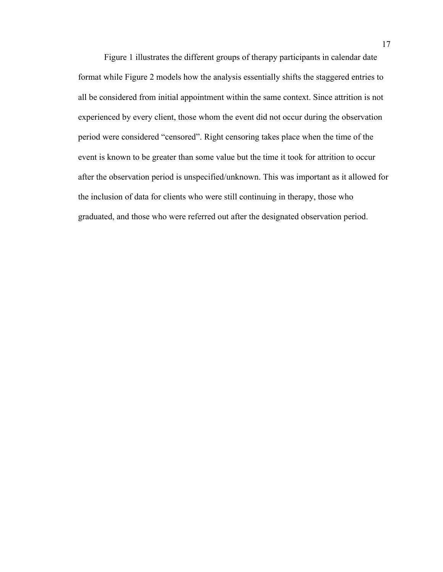Figure 1 illustrates the different groups of therapy participants in calendar date format while Figure 2 models how the analysis essentially shifts the staggered entries to all be considered from initial appointment within the same context. Since attrition is not experienced by every client, those whom the event did not occur during the observation period were considered "censored". Right censoring takes place when the time of the event is known to be greater than some value but the time it took for attrition to occur after the observation period is unspecified/unknown. This was important as it allowed for the inclusion of data for clients who were still continuing in therapy, those who graduated, and those who were referred out after the designated observation period.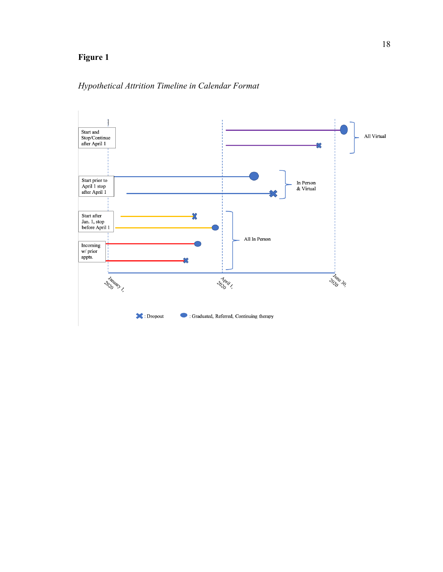## **Figure 1**

## *Hypothetical Attrition Timeline in Calendar Format*

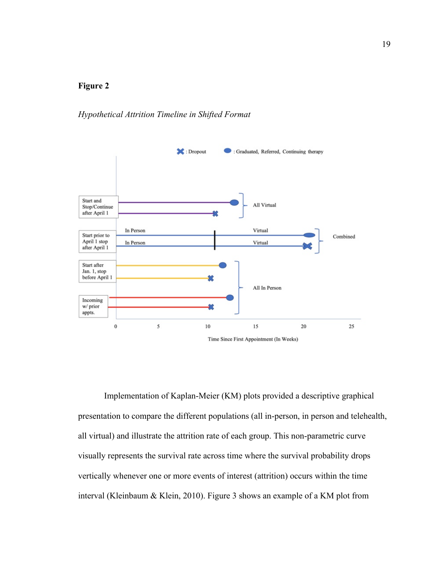### **Figure 2**

#### *Hypothetical Attrition Timeline in Shifted Format*



Implementation of Kaplan-Meier (KM) plots provided a descriptive graphical presentation to compare the different populations (all in-person, in person and telehealth, all virtual) and illustrate the attrition rate of each group. This non-parametric curve visually represents the survival rate across time where the survival probability drops vertically whenever one or more events of interest (attrition) occurs within the time interval (Kleinbaum & Klein, 2010). Figure 3 shows an example of a KM plot from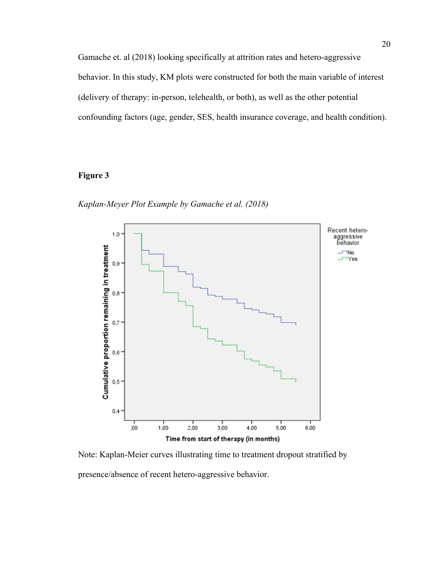Gamache et. al (2018) looking specifically at attrition rates and hetero-aggressive behavior. In this study, KM plots were constructed for both the main variable of interest (delivery of therapy: in-person, telehealth, or both), as well as the other potential confounding factors (age, gender, SES, health insurance coverage, and health condition).

### **Figure 3**

*Kaplan-Meyer Plot Example by Gamache et al. (2018)*



Note: Kaplan-Meier curves illustrating time to treatment dropout stratified by presence/absence of recent hetero-aggressive behavior.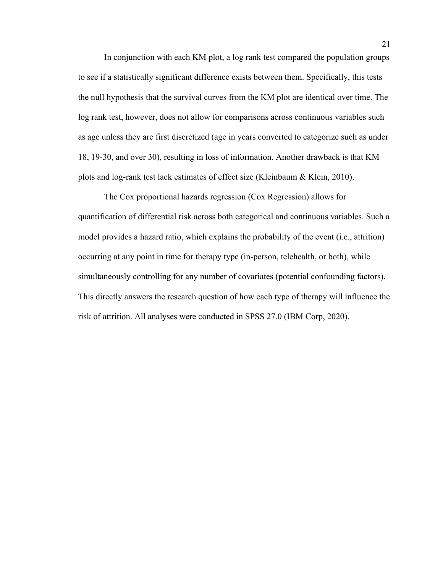In conjunction with each KM plot, a log rank test compared the population groups to see if a statistically significant difference exists between them. Specifically, this tests the null hypothesis that the survival curves from the KM plot are identical over time. The log rank test, however, does not allow for comparisons across continuous variables such as age unless they are first discretized (age in years converted to categorize such as under 18, 19-30, and over 30), resulting in loss of information. Another drawback is that KM plots and log-rank test lack estimates of effect size (Kleinbaum & Klein, 2010).

The Cox proportional hazards regression (Cox Regression) allows for quantification of differential risk across both categorical and continuous variables. Such a model provides a hazard ratio, which explains the probability of the event (i.e., attrition) occurring at any point in time for therapy type (in-person, telehealth, or both), while simultaneously controlling for any number of covariates (potential confounding factors). This directly answers the research question of how each type of therapy will influence the risk of attrition. All analyses were conducted in SPSS 27.0 (IBM Corp, 2020).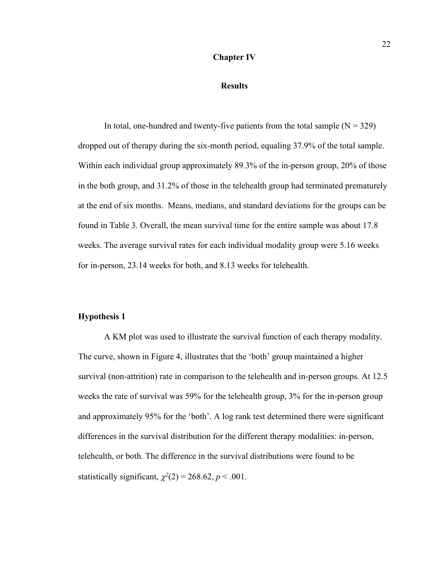#### **Chapter IV**

#### **Results**

In total, one-hundred and twenty-five patients from the total sample  $(N = 329)$ dropped out of therapy during the six-month period, equaling 37.9% of the total sample. Within each individual group approximately 89.3% of the in-person group, 20% of those in the both group, and 31.2% of those in the telehealth group had terminated prematurely at the end of six months. Means, medians, and standard deviations for the groups can be found in Table 3. Overall, the mean survival time for the entire sample was about 17.8 weeks. The average survival rates for each individual modality group were 5.16 weeks for in-person, 23.14 weeks for both, and 8.13 weeks for telehealth.

#### **Hypothesis 1**

A KM plot was used to illustrate the survival function of each therapy modality. The curve, shown in Figure 4, illustrates that the 'both' group maintained a higher survival (non-attrition) rate in comparison to the telehealth and in-person groups. At 12.5 weeks the rate of survival was 59% for the telehealth group, 3% for the in-person group and approximately 95% for the 'both'. A log rank test determined there were significant differences in the survival distribution for the different therapy modalities: in-person, telehealth, or both. The difference in the survival distributions were found to be statistically significant,  $\chi^2(2) = 268.62$ ,  $p < .001$ .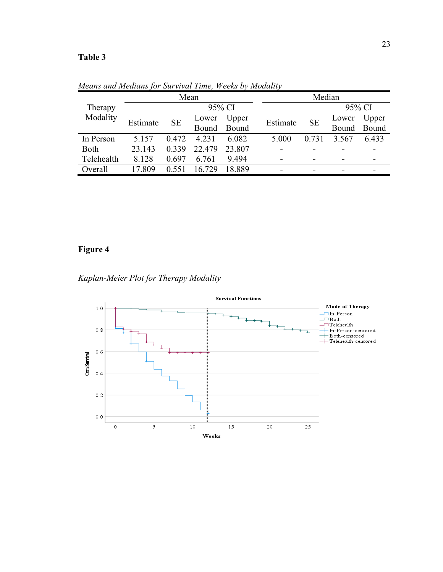### **Table 3**

|                     | Mean     |           |        |             |  | Median   |           |       |             |
|---------------------|----------|-----------|--------|-------------|--|----------|-----------|-------|-------------|
| Therapy<br>Modality | 95% CI   |           |        |             |  | 95% CI   |           |       |             |
|                     | Estimate | <b>SE</b> | Lower  | Upper       |  | Estimate | <b>SE</b> | Lower | Upper       |
|                     |          |           |        | Bound Bound |  |          |           |       | Bound Bound |
| In Person           | 5.157    | 0.472     | 4.231  | 6.082       |  | 5.000    | 0.731     | 3.567 | 6.433       |
| <b>Both</b>         | 23.143   | 0.339     | 22.479 | 23.807      |  |          |           |       |             |
| Telehealth          | 8.128    | 0.697     | 6.761  | 9.494       |  |          |           |       |             |
| Overall             | 17.809   | 0.551     | 16.729 | 18.889      |  |          |           |       |             |

*Means and Medians for Survival Time, Weeks by Modality*

## **Figure 4**



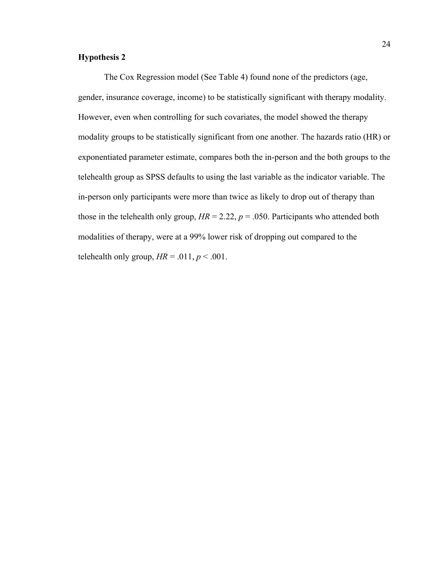### **Hypothesis 2**

The Cox Regression model (See Table 4) found none of the predictors (age, gender, insurance coverage, income) to be statistically significant with therapy modality. However, even when controlling for such covariates, the model showed the therapy modality groups to be statistically significant from one another. The hazards ratio (HR) or exponentiated parameter estimate, compares both the in-person and the both groups to the telehealth group as SPSS defaults to using the last variable as the indicator variable. The in-person only participants were more than twice as likely to drop out of therapy than those in the telehealth only group,  $HR = 2.22$ ,  $p = .050$ . Participants who attended both modalities of therapy, were at a 99% lower risk of dropping out compared to the telehealth only group,  $HR = .011$ ,  $p < .001$ .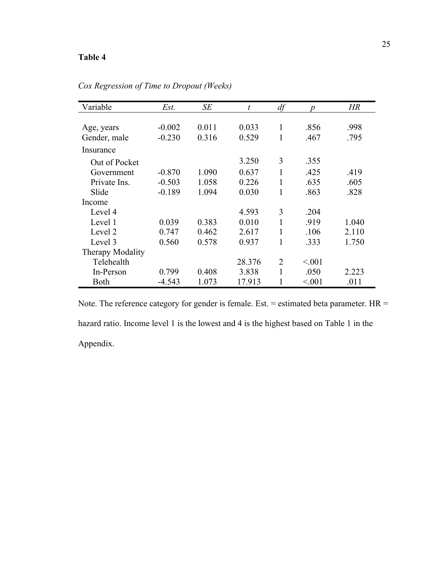### **Table 4**

| Variable         | Est.     | SЕ    | $\boldsymbol{t}$ | df             | $\boldsymbol{p}$ | HR    |
|------------------|----------|-------|------------------|----------------|------------------|-------|
|                  |          |       |                  |                |                  |       |
| Age, years       | $-0.002$ | 0.011 | 0.033            | 1              | .856             | .998  |
| Gender, male     | $-0.230$ | 0.316 | 0.529            | 1              | .467             | .795  |
| Insurance        |          |       |                  |                |                  |       |
| Out of Pocket    |          |       | 3.250            | 3              | .355             |       |
| Government       | $-0.870$ | 1.090 | 0.637            | 1              | .425             | .419  |
| Private Ins.     | $-0.503$ | 1.058 | 0.226            | 1              | .635             | .605  |
| Slide            | $-0.189$ | 1.094 | 0.030            | 1              | .863             | .828  |
| Income           |          |       |                  |                |                  |       |
| Level 4          |          |       | 4.593            | 3              | .204             |       |
| Level 1          | 0.039    | 0.383 | 0.010            |                | .919             | 1.040 |
| Level 2          | 0.747    | 0.462 | 2.617            | 1              | .106             | 2.110 |
| Level 3          | 0.560    | 0.578 | 0.937            | 1              | .333             | 1.750 |
| Therapy Modality |          |       |                  |                |                  |       |
| Telehealth       |          |       | 28.376           | $\overline{2}$ | < 0.001          |       |
| In-Person        | 0.799    | 0.408 | 3.838            | $\mathbf{1}$   | .050             | 2.223 |
| Both             | $-4.543$ | 1.073 | 17.913           |                | < 0.001          | .011  |

*Cox Regression of Time to Dropout (Weeks)*

Note. The reference category for gender is female. Est. = estimated beta parameter. HR = hazard ratio. Income level 1 is the lowest and 4 is the highest based on Table 1 in the Appendix.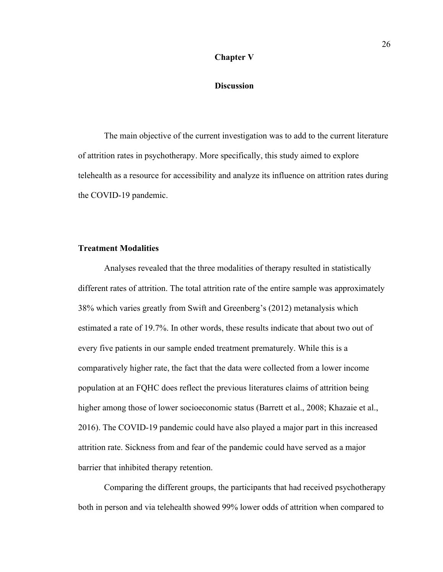#### **Chapter V**

#### **Discussion**

The main objective of the current investigation was to add to the current literature of attrition rates in psychotherapy. More specifically, this study aimed to explore telehealth as a resource for accessibility and analyze its influence on attrition rates during the COVID-19 pandemic.

#### **Treatment Modalities**

Analyses revealed that the three modalities of therapy resulted in statistically different rates of attrition. The total attrition rate of the entire sample was approximately 38% which varies greatly from Swift and Greenberg's (2012) metanalysis which estimated a rate of 19.7%. In other words, these results indicate that about two out of every five patients in our sample ended treatment prematurely. While this is a comparatively higher rate, the fact that the data were collected from a lower income population at an FQHC does reflect the previous literatures claims of attrition being higher among those of lower socioeconomic status (Barrett et al., 2008; Khazaie et al., 2016). The COVID-19 pandemic could have also played a major part in this increased attrition rate. Sickness from and fear of the pandemic could have served as a major barrier that inhibited therapy retention.

Comparing the different groups, the participants that had received psychotherapy both in person and via telehealth showed 99% lower odds of attrition when compared to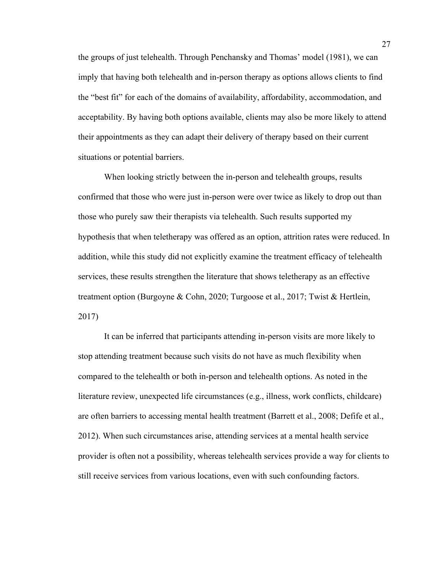the groups of just telehealth. Through Penchansky and Thomas' model (1981), we can imply that having both telehealth and in-person therapy as options allows clients to find the "best fit" for each of the domains of availability, affordability, accommodation, and acceptability. By having both options available, clients may also be more likely to attend their appointments as they can adapt their delivery of therapy based on their current situations or potential barriers.

When looking strictly between the in-person and telehealth groups, results confirmed that those who were just in-person were over twice as likely to drop out than those who purely saw their therapists via telehealth. Such results supported my hypothesis that when teletherapy was offered as an option, attrition rates were reduced. In addition, while this study did not explicitly examine the treatment efficacy of telehealth services, these results strengthen the literature that shows teletherapy as an effective treatment option (Burgoyne & Cohn, 2020; Turgoose et al., 2017; Twist & Hertlein, 2017)

It can be inferred that participants attending in-person visits are more likely to stop attending treatment because such visits do not have as much flexibility when compared to the telehealth or both in-person and telehealth options. As noted in the literature review, unexpected life circumstances (e.g., illness, work conflicts, childcare) are often barriers to accessing mental health treatment (Barrett et al., 2008; Defife et al., 2012). When such circumstances arise, attending services at a mental health service provider is often not a possibility, whereas telehealth services provide a way for clients to still receive services from various locations, even with such confounding factors.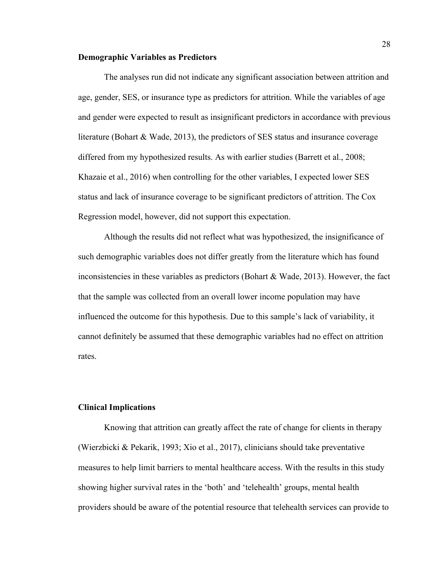#### **Demographic Variables as Predictors**

The analyses run did not indicate any significant association between attrition and age, gender, SES, or insurance type as predictors for attrition. While the variables of age and gender were expected to result as insignificant predictors in accordance with previous literature (Bohart & Wade, 2013), the predictors of SES status and insurance coverage differed from my hypothesized results. As with earlier studies (Barrett et al., 2008; Khazaie et al., 2016) when controlling for the other variables, I expected lower SES status and lack of insurance coverage to be significant predictors of attrition. The Cox Regression model, however, did not support this expectation.

Although the results did not reflect what was hypothesized, the insignificance of such demographic variables does not differ greatly from the literature which has found inconsistencies in these variables as predictors (Bohart & Wade, 2013). However, the fact that the sample was collected from an overall lower income population may have influenced the outcome for this hypothesis. Due to this sample's lack of variability, it cannot definitely be assumed that these demographic variables had no effect on attrition rates.

#### **Clinical Implications**

Knowing that attrition can greatly affect the rate of change for clients in therapy (Wierzbicki & Pekarik, 1993; Xio et al., 2017), clinicians should take preventative measures to help limit barriers to mental healthcare access. With the results in this study showing higher survival rates in the 'both' and 'telehealth' groups, mental health providers should be aware of the potential resource that telehealth services can provide to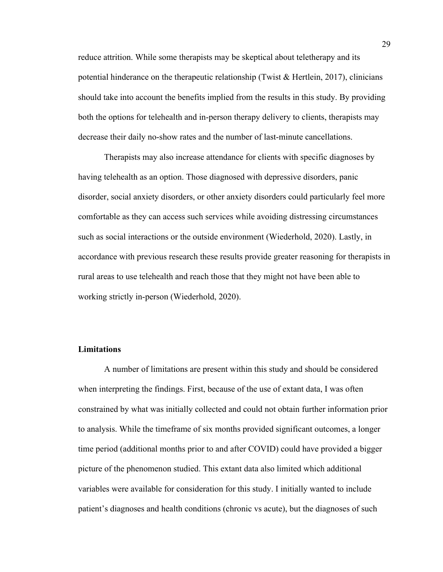reduce attrition. While some therapists may be skeptical about teletherapy and its potential hinderance on the therapeutic relationship (Twist  $\&$  Hertlein, 2017), clinicians should take into account the benefits implied from the results in this study. By providing both the options for telehealth and in-person therapy delivery to clients, therapists may decrease their daily no-show rates and the number of last-minute cancellations.

Therapists may also increase attendance for clients with specific diagnoses by having telehealth as an option. Those diagnosed with depressive disorders, panic disorder, social anxiety disorders, or other anxiety disorders could particularly feel more comfortable as they can access such services while avoiding distressing circumstances such as social interactions or the outside environment (Wiederhold, 2020). Lastly, in accordance with previous research these results provide greater reasoning for therapists in rural areas to use telehealth and reach those that they might not have been able to working strictly in-person (Wiederhold, 2020).

#### **Limitations**

A number of limitations are present within this study and should be considered when interpreting the findings. First, because of the use of extant data, I was often constrained by what was initially collected and could not obtain further information prior to analysis. While the timeframe of six months provided significant outcomes, a longer time period (additional months prior to and after COVID) could have provided a bigger picture of the phenomenon studied. This extant data also limited which additional variables were available for consideration for this study. I initially wanted to include patient's diagnoses and health conditions (chronic vs acute), but the diagnoses of such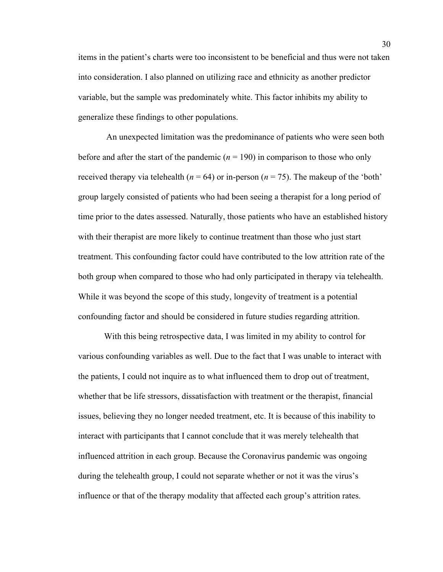items in the patient's charts were too inconsistent to be beneficial and thus were not taken into consideration. I also planned on utilizing race and ethnicity as another predictor variable, but the sample was predominately white. This factor inhibits my ability to generalize these findings to other populations.

An unexpected limitation was the predominance of patients who were seen both before and after the start of the pandemic  $(n = 190)$  in comparison to those who only received therapy via telehealth ( $n = 64$ ) or in-person ( $n = 75$ ). The makeup of the 'both' group largely consisted of patients who had been seeing a therapist for a long period of time prior to the dates assessed. Naturally, those patients who have an established history with their therapist are more likely to continue treatment than those who just start treatment. This confounding factor could have contributed to the low attrition rate of the both group when compared to those who had only participated in therapy via telehealth. While it was beyond the scope of this study, longevity of treatment is a potential confounding factor and should be considered in future studies regarding attrition.

With this being retrospective data, I was limited in my ability to control for various confounding variables as well. Due to the fact that I was unable to interact with the patients, I could not inquire as to what influenced them to drop out of treatment, whether that be life stressors, dissatisfaction with treatment or the therapist, financial issues, believing they no longer needed treatment, etc. It is because of this inability to interact with participants that I cannot conclude that it was merely telehealth that influenced attrition in each group. Because the Coronavirus pandemic was ongoing during the telehealth group, I could not separate whether or not it was the virus's influence or that of the therapy modality that affected each group's attrition rates.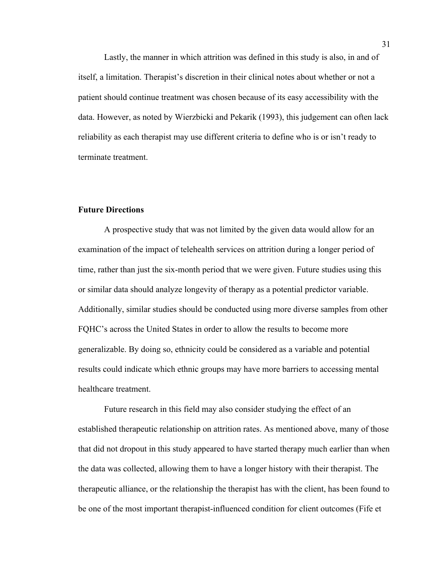Lastly, the manner in which attrition was defined in this study is also, in and of itself, a limitation. Therapist's discretion in their clinical notes about whether or not a patient should continue treatment was chosen because of its easy accessibility with the data. However, as noted by Wierzbicki and Pekarik (1993), this judgement can often lack reliability as each therapist may use different criteria to define who is or isn't ready to terminate treatment.

#### **Future Directions**

A prospective study that was not limited by the given data would allow for an examination of the impact of telehealth services on attrition during a longer period of time, rather than just the six-month period that we were given. Future studies using this or similar data should analyze longevity of therapy as a potential predictor variable. Additionally, similar studies should be conducted using more diverse samples from other FQHC's across the United States in order to allow the results to become more generalizable. By doing so, ethnicity could be considered as a variable and potential results could indicate which ethnic groups may have more barriers to accessing mental healthcare treatment.

Future research in this field may also consider studying the effect of an established therapeutic relationship on attrition rates. As mentioned above, many of those that did not dropout in this study appeared to have started therapy much earlier than when the data was collected, allowing them to have a longer history with their therapist. The therapeutic alliance, or the relationship the therapist has with the client, has been found to be one of the most important therapist-influenced condition for client outcomes (Fife et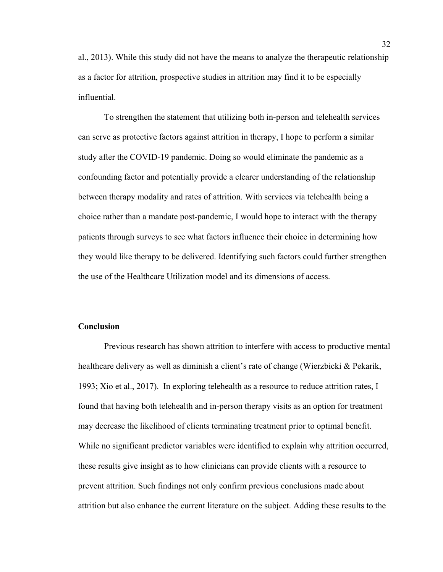al., 2013). While this study did not have the means to analyze the therapeutic relationship as a factor for attrition, prospective studies in attrition may find it to be especially influential.

To strengthen the statement that utilizing both in-person and telehealth services can serve as protective factors against attrition in therapy, I hope to perform a similar study after the COVID-19 pandemic. Doing so would eliminate the pandemic as a confounding factor and potentially provide a clearer understanding of the relationship between therapy modality and rates of attrition. With services via telehealth being a choice rather than a mandate post-pandemic, I would hope to interact with the therapy patients through surveys to see what factors influence their choice in determining how they would like therapy to be delivered. Identifying such factors could further strengthen the use of the Healthcare Utilization model and its dimensions of access.

#### **Conclusion**

Previous research has shown attrition to interfere with access to productive mental healthcare delivery as well as diminish a client's rate of change (Wierzbicki & Pekarik, 1993; Xio et al., 2017). In exploring telehealth as a resource to reduce attrition rates, I found that having both telehealth and in-person therapy visits as an option for treatment may decrease the likelihood of clients terminating treatment prior to optimal benefit. While no significant predictor variables were identified to explain why attrition occurred, these results give insight as to how clinicians can provide clients with a resource to prevent attrition. Such findings not only confirm previous conclusions made about attrition but also enhance the current literature on the subject. Adding these results to the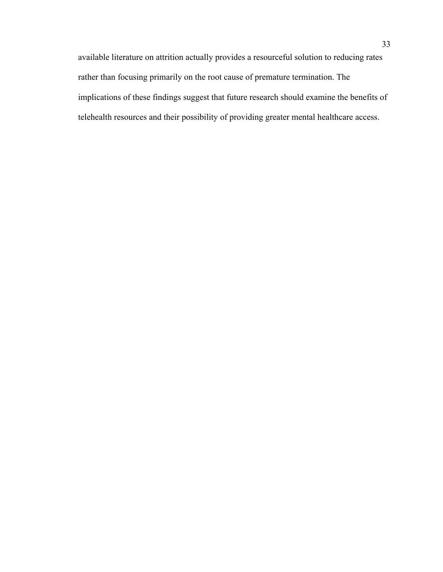available literature on attrition actually provides a resourceful solution to reducing rates rather than focusing primarily on the root cause of premature termination. The implications of these findings suggest that future research should examine the benefits of telehealth resources and their possibility of providing greater mental healthcare access.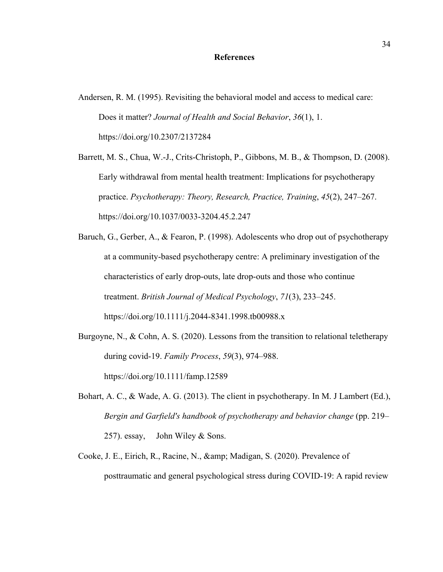#### **References**

- Andersen, R. M. (1995). Revisiting the behavioral model and access to medical care: Does it matter? *Journal of Health and Social Behavior*, *36*(1), 1. https://doi.org/10.2307/2137284
- Barrett, M. S., Chua, W.-J., Crits-Christoph, P., Gibbons, M. B., & Thompson, D. (2008). Early withdrawal from mental health treatment: Implications for psychotherapy practice. *Psychotherapy: Theory, Research, Practice, Training*, *45*(2), 247–267. https://doi.org/10.1037/0033-3204.45.2.247
- Baruch, G., Gerber, A., & Fearon, P. (1998). Adolescents who drop out of psychotherapy at a community-based psychotherapy centre: A preliminary investigation of the characteristics of early drop-outs, late drop-outs and those who continue treatment. *British Journal of Medical Psychology*, *71*(3), 233–245. https://doi.org/10.1111/j.2044-8341.1998.tb00988.x
- Burgoyne, N., & Cohn, A. S. (2020). Lessons from the transition to relational teletherapy during covid‐19. *Family Process*, *59*(3), 974–988. https://doi.org/10.1111/famp.12589
- Bohart, A. C., & Wade, A. G. (2013). The client in psychotherapy. In M. J Lambert (Ed.), *Bergin and Garfield's handbook of psychotherapy and behavior change* (pp. 219– 257). essay, John Wiley & Sons.
- Cooke, J. E., Eirich, R., Racine, N., & amp; Madigan, S. (2020). Prevalence of posttraumatic and general psychological stress during COVID-19: A rapid review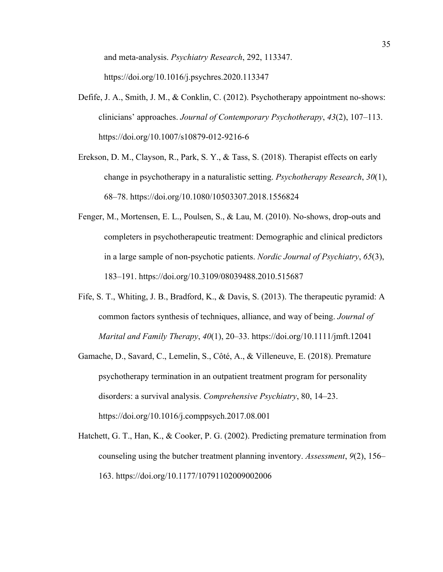and meta-analysis. *Psychiatry Research*, 292, 113347. https://doi.org/10.1016/j.psychres.2020.113347

- Defife, J. A., Smith, J. M., & Conklin, C. (2012). Psychotherapy appointment no-shows: clinicians' approaches. *Journal of Contemporary Psychotherapy*, *43*(2), 107–113. https://doi.org/10.1007/s10879-012-9216-6
- Erekson, D. M., Clayson, R., Park, S. Y., & Tass, S. (2018). Therapist effects on early change in psychotherapy in a naturalistic setting. *Psychotherapy Research*, *30*(1), 68–78. https://doi.org/10.1080/10503307.2018.1556824
- Fenger, M., Mortensen, E. L., Poulsen, S., & Lau, M. (2010). No-shows, drop-outs and completers in psychotherapeutic treatment: Demographic and clinical predictors in a large sample of non-psychotic patients. *Nordic Journal of Psychiatry*, *65*(3), 183–191. https://doi.org/10.3109/08039488.2010.515687
- Fife, S. T., Whiting, J. B., Bradford, K., & Davis, S. (2013). The therapeutic pyramid: A common factors synthesis of techniques, alliance, and way of being. *Journal of Marital and Family Therapy*, *40*(1), 20–33. https://doi.org/10.1111/jmft.12041
- Gamache, D., Savard, C., Lemelin, S., Côté, A., & Villeneuve, E. (2018). Premature psychotherapy termination in an outpatient treatment program for personality disorders: a survival analysis. *Comprehensive Psychiatry*, 80, 14–23. https://doi.org/10.1016/j.comppsych.2017.08.001
- Hatchett, G. T., Han, K., & Cooker, P. G. (2002). Predicting premature termination from counseling using the butcher treatment planning inventory. *Assessment*, *9*(2), 156– 163. https://doi.org/10.1177/10791102009002006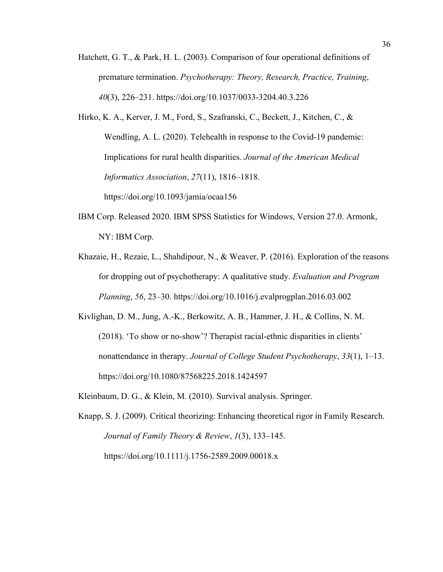- Hatchett, G. T., & Park, H. L. (2003). Comparison of four operational definitions of premature termination. *Psychotherapy: Theory, Research, Practice, Training*, *40*(3), 226–231. https://doi.org/10.1037/0033-3204.40.3.226
- Hirko, K. A., Kerver, J. M., Ford, S., Szafranski, C., Beckett, J., Kitchen, C., & Wendling, A. L. (2020). Telehealth in response to the Covid-19 pandemic: Implications for rural health disparities. *Journal of the American Medical Informatics Association*, *27*(11), 1816–1818. https://doi.org/10.1093/jamia/ocaa156
- IBM Corp. Released 2020. IBM SPSS Statistics for Windows, Version 27.0. Armonk, NY: IBM Corp.
- Khazaie, H., Rezaie, L., Shahdipour, N., & Weaver, P. (2016). Exploration of the reasons for dropping out of psychotherapy: A qualitative study. *Evaluation and Program Planning*, *56*, 23–30. https://doi.org/10.1016/j.evalprogplan.2016.03.002
- Kivlighan, D. M., Jung, A.-K., Berkowitz, A. B., Hammer, J. H., & Collins, N. M. (2018). 'To show or no-show'? Therapist racial-ethnic disparities in clients' nonattendance in therapy. *Journal of College Student Psychotherapy*, *33*(1), 1–13. https://doi.org/10.1080/87568225.2018.1424597
- Kleinbaum, D. G., & Klein, M. (2010). Survival analysis. Springer.
- Knapp, S. J. (2009). Critical theorizing: Enhancing theoretical rigor in Family Research. *Journal of Family Theory & Review*, *1*(3), 133–145. https://doi.org/10.1111/j.1756-2589.2009.00018.x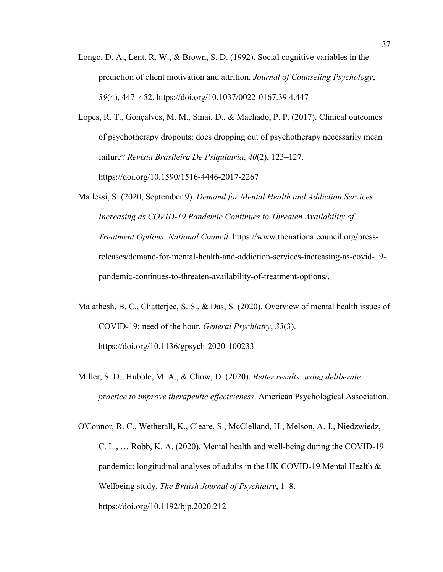- Longo, D. A., Lent, R. W., & Brown, S. D. (1992). Social cognitive variables in the prediction of client motivation and attrition. *Journal of Counseling Psychology*, *39*(4), 447–452. https://doi.org/10.1037/0022-0167.39.4.447
- Lopes, R. T., Gonçalves, M. M., Sinai, D., & Machado, P. P. (2017). Clinical outcomes of psychotherapy dropouts: does dropping out of psychotherapy necessarily mean failure? *Revista Brasileira De Psiquiatria*, *40*(2), 123–127. https://doi.org/10.1590/1516-4446-2017-2267
- Majlessi, S. (2020, September 9). *Demand for Mental Health and Addiction Services Increasing as COVID-19 Pandemic Continues to Threaten Availability of Treatment Options. National Council.* https://www.thenationalcouncil.org/pressreleases/demand-for-mental-health-and-addiction-services-increasing-as-covid-19 pandemic-continues-to-threaten-availability-of-treatment-options/.
- Malathesh, B. C., Chatterjee, S. S., & Das, S. (2020). Overview of mental health issues of COVID-19: need of the hour. *General Psychiatry*, *33*(3). https://doi.org/10.1136/gpsych-2020-100233
- Miller, S. D., Hubble, M. A., & Chow, D. (2020). *Better results: using deliberate practice to improve therapeutic effectiveness*. American Psychological Association.
- O'Connor, R. C., Wetherall, K., Cleare, S., McClelland, H., Melson, A. J., Niedzwiedz, C. L., … Robb, K. A. (2020). Mental health and well-being during the COVID-19 pandemic: longitudinal analyses of adults in the UK COVID-19 Mental Health & Wellbeing study. *The British Journal of Psychiatry*, 1–8. https://doi.org/10.1192/bjp.2020.212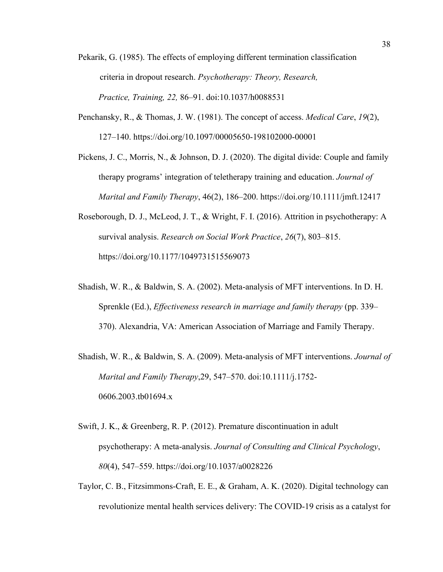- Pekarik, G. (1985). The effects of employing different termination classification criteria in dropout research. *Psychotherapy: Theory, Research, Practice, Training, 22,* 86–91. doi:10.1037/h0088531
- Penchansky, R., & Thomas, J. W. (1981). The concept of access. *Medical Care*, *19*(2), 127–140. https://doi.org/10.1097/00005650-198102000-00001
- Pickens, J. C., Morris, N., & Johnson, D. J. (2020). The digital divide: Couple and family therapy programs' integration of teletherapy training and education. *Journal of Marital and Family Therapy*, 46(2), 186–200. https://doi.org/10.1111/jmft.12417
- Roseborough, D. J., McLeod, J. T., & Wright, F. I. (2016). Attrition in psychotherapy: A survival analysis. *Research on Social Work Practice*, *26*(7), 803–815. https://doi.org/10.1177/1049731515569073
- Shadish, W. R., & Baldwin, S. A. (2002). Meta-analysis of MFT interventions. In D. H. Sprenkle (Ed.), *Effectiveness research in marriage and family therapy* (pp. 339– 370). Alexandria, VA: American Association of Marriage and Family Therapy.
- Shadish, W. R., & Baldwin, S. A. (2009). Meta-analysis of MFT interventions. *Journal of Marital and Family Therapy*,29, 547–570. doi:10.1111/j.1752- 0606.2003.tb01694.x
- Swift, J. K., & Greenberg, R. P. (2012). Premature discontinuation in adult psychotherapy: A meta-analysis. *Journal of Consulting and Clinical Psychology*, *80*(4), 547–559. https://doi.org/10.1037/a0028226
- Taylor, C. B., Fitzsimmons‐Craft, E. E., & Graham, A. K. (2020). Digital technology can revolutionize mental health services delivery: The COVID‐19 crisis as a catalyst for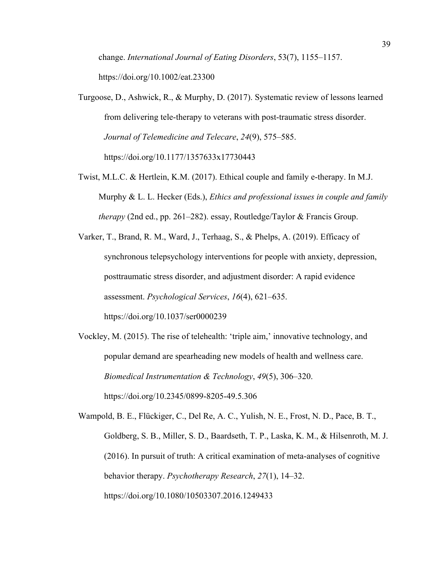change. *International Journal of Eating Disorders*, 53(7), 1155–1157. https://doi.org/10.1002/eat.23300

- Turgoose, D., Ashwick, R., & Murphy, D. (2017). Systematic review of lessons learned from delivering tele-therapy to veterans with post-traumatic stress disorder. *Journal of Telemedicine and Telecare*, *24*(9), 575–585. https://doi.org/10.1177/1357633x17730443
- Twist, M.L.C. & Hertlein, K.M. (2017). Ethical couple and family e-therapy. In M.J. Murphy & L. L. Hecker (Eds.), *Ethics and professional issues in couple and family therapy* (2nd ed., pp. 261–282). essay, Routledge/Taylor & Francis Group.
- Varker, T., Brand, R. M., Ward, J., Terhaag, S., & Phelps, A. (2019). Efficacy of synchronous telepsychology interventions for people with anxiety, depression, posttraumatic stress disorder, and adjustment disorder: A rapid evidence assessment. *Psychological Services*, *16*(4), 621–635. https://doi.org/10.1037/ser0000239
- Vockley, M. (2015). The rise of telehealth: 'triple aim,' innovative technology, and popular demand are spearheading new models of health and wellness care. *Biomedical Instrumentation & Technology*, *49*(5), 306–320. https://doi.org/10.2345/0899-8205-49.5.306

Wampold, B. E., Flückiger, C., Del Re, A. C., Yulish, N. E., Frost, N. D., Pace, B. T., Goldberg, S. B., Miller, S. D., Baardseth, T. P., Laska, K. M., & Hilsenroth, M. J. (2016). In pursuit of truth: A critical examination of meta-analyses of cognitive behavior therapy. *Psychotherapy Research*, *27*(1), 14–32. https://doi.org/10.1080/10503307.2016.1249433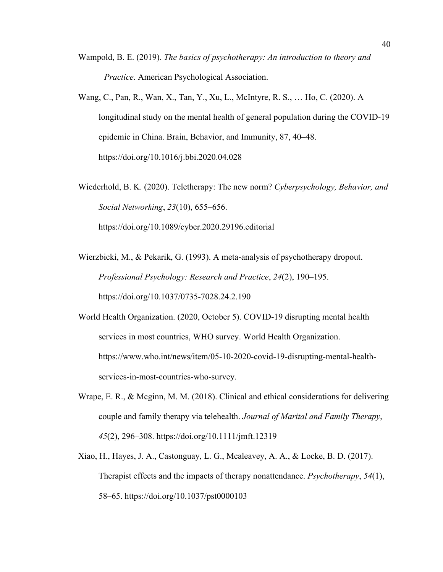- Wampold, B. E. (2019). *The basics of psychotherapy: An introduction to theory and Practice*. American Psychological Association.
- Wang, C., Pan, R., Wan, X., Tan, Y., Xu, L., McIntyre, R. S., … Ho, C. (2020). A longitudinal study on the mental health of general population during the COVID-19 epidemic in China. Brain, Behavior, and Immunity, 87, 40–48. https://doi.org/10.1016/j.bbi.2020.04.028

Wiederhold, B. K. (2020). Teletherapy: The new norm? *Cyberpsychology, Behavior, and Social Networking*, *23*(10), 655–656. https://doi.org/10.1089/cyber.2020.29196.editorial

Wierzbicki, M., & Pekarik, G. (1993). A meta-analysis of psychotherapy dropout. *Professional Psychology: Research and Practice*, *24*(2), 190–195. https://doi.org/10.1037/0735-7028.24.2.190

World Health Organization. (2020, October 5). COVID-19 disrupting mental health services in most countries, WHO survey. World Health Organization. https://www.who.int/news/item/05-10-2020-covid-19-disrupting-mental-healthservices-in-most-countries-who-survey.

- Wrape, E. R., & Mcginn, M. M. (2018). Clinical and ethical considerations for delivering couple and family therapy via telehealth. *Journal of Marital and Family Therapy*, *45*(2), 296–308. https://doi.org/10.1111/jmft.12319
- Xiao, H., Hayes, J. A., Castonguay, L. G., Mcaleavey, A. A., & Locke, B. D. (2017). Therapist effects and the impacts of therapy nonattendance. *Psychotherapy*, *54*(1), 58–65. https://doi.org/10.1037/pst0000103